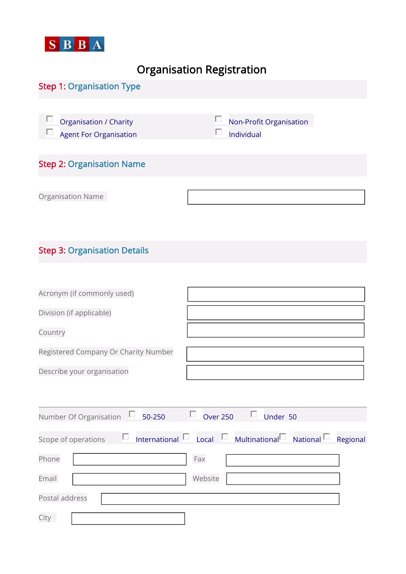

## Organisation Registration

## Step 1: Organisation Type Organisation / Charity Non-Profit Organisation  $\Box$  $\Box$  Agent For Organisation  $\Box$  Individual Step 2: Organisation Name

Organisation Name

## Step 3: Organisation Details

| Acronym (if commonly used)           |  |
|--------------------------------------|--|
| Division (if applicable)             |  |
| Country                              |  |
| Registered Company Or Charity Number |  |
| Describe your organisation           |  |

| Number Of Organisation | Ł.<br>50-250        | L.<br><b>Over 250</b> | Ł.<br>Under 50                            |          |
|------------------------|---------------------|-----------------------|-------------------------------------------|----------|
|                        |                     |                       |                                           |          |
| Scope of operations    | Ł.<br>International | $\sim$<br>Local       | L.<br>Multinational <sup>E</sup> National | Regional |
| Phone                  |                     | Fax                   |                                           |          |
| Email                  |                     | Website               |                                           |          |
| Postal address         |                     |                       |                                           |          |
| City                   |                     |                       |                                           |          |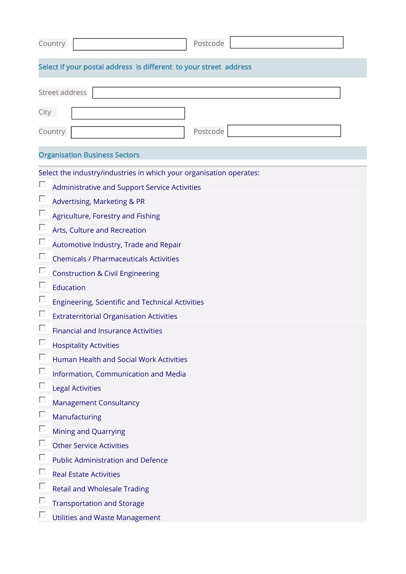| Postcode<br>Country                                                 |  |  |  |  |
|---------------------------------------------------------------------|--|--|--|--|
| Select if your postal address is different to your street address   |  |  |  |  |
| Street address                                                      |  |  |  |  |
| City                                                                |  |  |  |  |
| Postcode<br>Country                                                 |  |  |  |  |
| <b>Organisation Business Sectors</b>                                |  |  |  |  |
| Select the industry/industries in which your organisation operates: |  |  |  |  |
| Administrative and Support Service Activities                       |  |  |  |  |
| Advertising, Marketing & PR                                         |  |  |  |  |
| Agriculture, Forestry and Fishing                                   |  |  |  |  |
| Arts, Culture and Recreation                                        |  |  |  |  |
| Automotive Industry, Trade and Repair                               |  |  |  |  |
| <b>Chemicals / Pharmaceuticals Activities</b>                       |  |  |  |  |
| <b>Construction &amp; Civil Engineering</b>                         |  |  |  |  |
| Education                                                           |  |  |  |  |
| Engineering, Scientific and Technical Activities                    |  |  |  |  |
| <b>Extraterritorial Organisation Activities</b>                     |  |  |  |  |
| <b>Financial and Insurance Activities</b>                           |  |  |  |  |
| <b>Hospitality Activities</b>                                       |  |  |  |  |
| Human Health and Social Work Activities                             |  |  |  |  |
| L<br>Information, Communication and Media                           |  |  |  |  |
| <b>Legal Activities</b>                                             |  |  |  |  |
| Ł.<br><b>Management Consultancy</b>                                 |  |  |  |  |
| Manufacturing                                                       |  |  |  |  |
| Mining and Quarrying                                                |  |  |  |  |
| <b>Other Service Activities</b>                                     |  |  |  |  |
| <b>Public Administration and Defence</b>                            |  |  |  |  |
| <b>Real Estate Activities</b>                                       |  |  |  |  |
| <b>Retail and Wholesale Trading</b>                                 |  |  |  |  |
| <b>Transportation and Storage</b>                                   |  |  |  |  |
| <b>Utilities and Waste Management</b>                               |  |  |  |  |